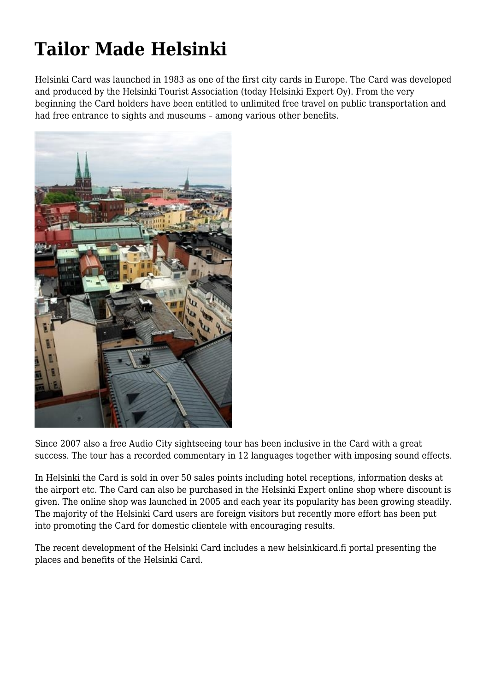## **Tailor Made Helsinki**

Helsinki Card was launched in 1983 as one of the first city cards in Europe. The Card was developed and produced by the Helsinki Tourist Association (today Helsinki Expert Oy). From the very beginning the Card holders have been entitled to unlimited free travel on public transportation and had free entrance to sights and museums – among various other benefits.



Since 2007 also a free Audio City sightseeing tour has been inclusive in the Card with a great success. The tour has a recorded commentary in 12 languages together with imposing sound effects.

In Helsinki the Card is sold in over 50 sales points including hotel receptions, information desks at the airport etc. The Card can also be purchased in the Helsinki Expert online shop where discount is given. The online shop was launched in 2005 and each year its popularity has been growing steadily. The majority of the Helsinki Card users are foreign visitors but recently more effort has been put into promoting the Card for domestic clientele with encouraging results.

The recent development of the Helsinki Card includes a new helsinkicard.fi portal presenting the places and benefits of the Helsinki Card.